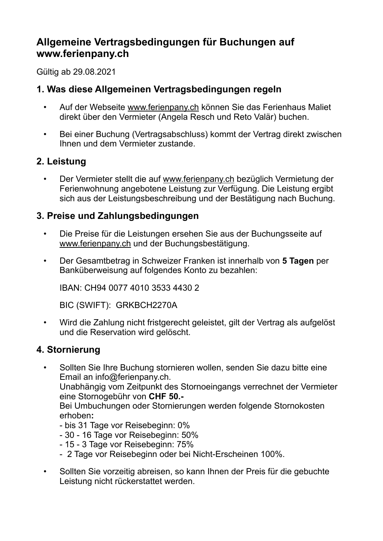# **Allgemeine Vertragsbedingungen für Buchungen auf www.ferienpany.ch**

Gültig ab 29.08.2021

## **1. Was diese Allgemeinen Vertragsbedingungen regeln**

- Auf der Webseite www[.ferienpany.ch](http://ferienpany.ch) können Sie das Ferienhaus Maliet direkt über den Vermieter (Angela Resch und Reto Valär) buchen.
- Bei einer Buchung (Vertragsabschluss) kommt der Vertrag direkt zwischen Ihnen und dem Vermieter zustande.

# **2. Leistung**

• Der Vermieter stellt die auf www.ferienpany.ch bezüglich Vermietung der Ferienwohnung angebotene Leistung zur Verfügung. Die Leistung ergibt sich aus der Leistungsbeschreibung und der Bestätigung nach Buchung.

### **3. Preise und Zahlungsbedingungen**

- Die Preise für die Leistungen ersehen Sie aus der Buchungsseite auf [www.ferienpany.ch](http://www.ferienpany.ch) und der Buchungsbestätigung.
- Der Gesamtbetrag in Schweizer Franken ist innerhalb von **5 Tagen** per Banküberweisung auf folgendes Konto zu bezahlen:

IBAN: CH94 0077 4010 3533 4430 2

BIC (SWIFT): GRKBCH2270A

• Wird die Zahlung nicht fristgerecht geleistet, gilt der Vertrag als aufgelöst und die Reservation wird gelöscht.

### **4. Stornierung**

• Sollten Sie Ihre Buchung stornieren wollen, senden Sie dazu bitte eine Email an info@ferienpany.ch.

Unabhängig vom Zeitpunkt des Stornoeingangs verrechnet der Vermieter eine Stornogebühr von **CHF 50.-** 

Bei Umbuchungen oder Stornierungen werden folgende Stornokosten erhoben**:**

- bis 31 Tage vor Reisebeginn: 0%
- 30 16 Tage vor Reisebeginn: 50%
- 15 3 Tage vor Reisebeginn: 75%
- 2 Tage vor Reisebeginn oder bei Nicht-Erscheinen 100%.
- Sollten Sie vorzeitig abreisen, so kann Ihnen der Preis für die gebuchte Leistung nicht rückerstattet werden.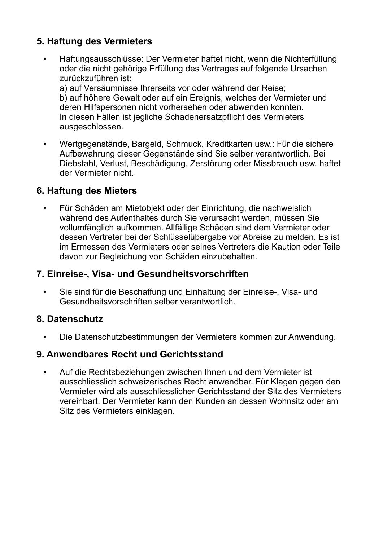# **5. Haftung des Vermieters**

• Haftungsausschlüsse: Der Vermieter haftet nicht, wenn die Nichterfüllung oder die nicht gehörige Erfüllung des Vertrages auf folgende Ursachen zurückzuführen ist:

a) auf Versäumnisse Ihrerseits vor oder während der Reise; b) auf höhere Gewalt oder auf ein Ereignis, welches der Vermieter und deren Hilfspersonen nicht vorhersehen oder abwenden konnten. In diesen Fällen ist jegliche Schadenersatzpflicht des Vermieters ausgeschlossen.

• Wertgegenstände, Bargeld, Schmuck, Kreditkarten usw.: Für die sichere Aufbewahrung dieser Gegenstände sind Sie selber verantwortlich. Bei Diebstahl, Verlust, Beschädigung, Zerstörung oder Missbrauch usw. haftet der Vermieter nicht.

# **6. Haftung des Mieters**

• Für Schäden am Mietobjekt oder der Einrichtung, die nachweislich während des Aufenthaltes durch Sie verursacht werden, müssen Sie vollumfänglich aufkommen. Allfällige Schäden sind dem Vermieter oder dessen Vertreter bei der Schlüsselübergabe vor Abreise zu melden. Es ist im Ermessen des Vermieters oder seines Vertreters die Kaution oder Teile davon zur Begleichung von Schäden einzubehalten.

## **7. Einreise-, Visa- und Gesundheitsvorschriften**

• Sie sind für die Beschaffung und Einhaltung der Einreise-, Visa- und Gesundheitsvorschriften selber verantwortlich.

### **8. Datenschutz**

• Die Datenschutzbestimmungen der Vermieters kommen zur Anwendung.

### **9. Anwendbares Recht und Gerichtsstand**

• Auf die Rechtsbeziehungen zwischen Ihnen und dem Vermieter ist ausschliesslich schweizerisches Recht anwendbar. Für Klagen gegen den Vermieter wird als ausschliesslicher Gerichtsstand der Sitz des Vermieters vereinbart. Der Vermieter kann den Kunden an dessen Wohnsitz oder am Sitz des Vermieters einklagen.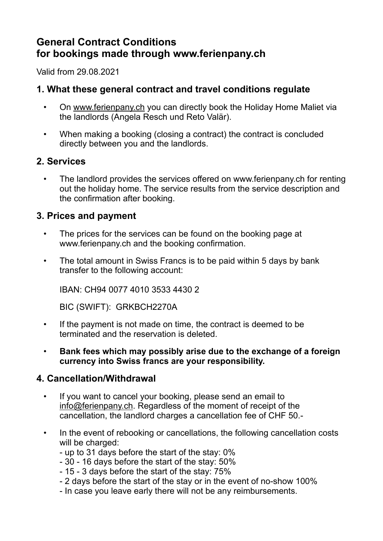# **General Contract Conditions for bookings made through www.ferienpany.ch**

Valid from 29.08.2021

## **1. What these general contract and travel conditions regulate**

- On www[.ferienpany.ch](http://ferienpany.ch) you can directly book the Holiday Home Maliet via the landlords (Angela Resch und Reto Valär).
- When making a booking (closing a contract) the contract is concluded directly between you and the landlords.

### **2. Services**

• The landlord provides the services offered on www.ferienpany.ch for renting out the holiday home. The service results from the service description and the confirmation after booking.

### **3. Prices and payment**

- The prices for the services can be found on the booking page at www.ferienpany.ch and the booking confirmation.
- The total amount in Swiss Francs is to be paid within 5 days by bank transfer to the following account:

IBAN: CH94 0077 4010 3533 4430 2

BIC (SWIFT): GRKBCH2270A

- If the payment is not made on time, the contract is deemed to be terminated and the reservation is deleted.
- **Bank fees which may possibly arise due to the exchange of a foreign currency into Swiss francs are your responsibility.**

### **4. Cancellation/Withdrawal**

- If you want to cancel your booking, please send an email to [info@ferienpany.ch.](mailto:info@ferienpany.ch) Regardless of the moment of receipt of the cancellation, the landlord charges a cancellation fee of CHF 50.-
- In the event of rebooking or cancellations, the following cancellation costs will be charged:
	- up to 31 days before the start of the stay: 0%
	- 30 16 days before the start of the stay: 50%
	- 15 3 days before the start of the stay: 75%
	- 2 days before the start of the stay or in the event of no-show 100%
	- In case you leave early there will not be any reimbursements.